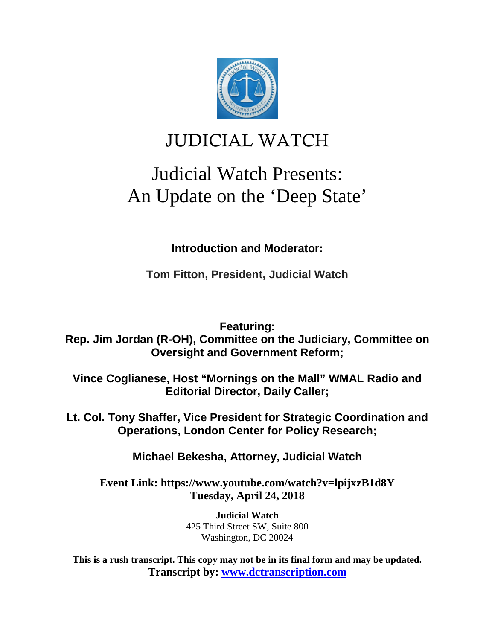

## JUDICIAL WATCH

# Judicial Watch Presents: An Update on the 'Deep State'

**Introduction and Moderator:**

**Tom Fitton, President, Judicial Watch**

**Featuring:**

**Rep. Jim Jordan (R-OH), Committee on the Judiciary, Committee on Oversight and Government Reform;**

**Vince Coglianese, Host "Mornings on the Mall" WMAL Radio and Editorial Director, Daily Caller;**

**Lt. Col. Tony Shaffer, Vice President for Strategic Coordination and Operations, London Center for Policy Research;**

**Michael Bekesha, Attorney, Judicial Watch** 

**Event Link: https://www.youtube.com/watch?v=lpijxzB1d8Y Tuesday, April 24, 2018**

> **Judicial Watch** 425 Third Street SW, Suite 800 Washington, DC 20024

**This is a rush transcript. This copy may not be in its final form and may be updated. Transcript by: [www.dctranscription.com](http://www.dctranscription.com/)**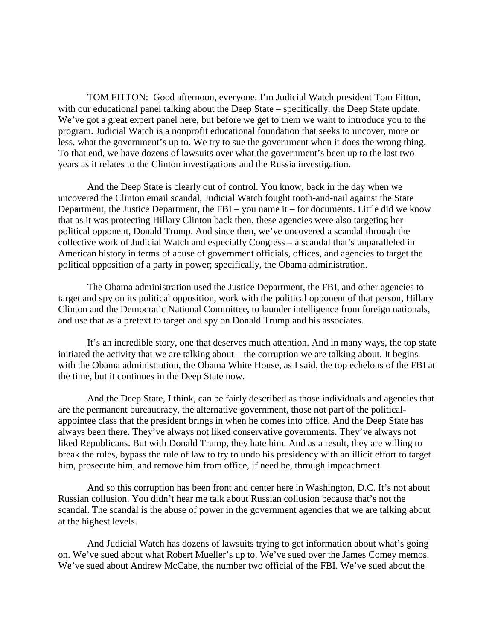TOM FITTON: Good afternoon, everyone. I'm Judicial Watch president Tom Fitton, with our educational panel talking about the Deep State – specifically, the Deep State update. We've got a great expert panel here, but before we get to them we want to introduce you to the program. Judicial Watch is a nonprofit educational foundation that seeks to uncover, more or less, what the government's up to. We try to sue the government when it does the wrong thing. To that end, we have dozens of lawsuits over what the government's been up to the last two years as it relates to the Clinton investigations and the Russia investigation.

And the Deep State is clearly out of control. You know, back in the day when we uncovered the Clinton email scandal, Judicial Watch fought tooth-and-nail against the State Department, the Justice Department, the FBI – you name it – for documents. Little did we know that as it was protecting Hillary Clinton back then, these agencies were also targeting her political opponent, Donald Trump. And since then, we've uncovered a scandal through the collective work of Judicial Watch and especially Congress – a scandal that's unparalleled in American history in terms of abuse of government officials, offices, and agencies to target the political opposition of a party in power; specifically, the Obama administration.

The Obama administration used the Justice Department, the FBI, and other agencies to target and spy on its political opposition, work with the political opponent of that person, Hillary Clinton and the Democratic National Committee, to launder intelligence from foreign nationals, and use that as a pretext to target and spy on Donald Trump and his associates.

It's an incredible story, one that deserves much attention. And in many ways, the top state initiated the activity that we are talking about – the corruption we are talking about. It begins with the Obama administration, the Obama White House, as I said, the top echelons of the FBI at the time, but it continues in the Deep State now.

And the Deep State, I think, can be fairly described as those individuals and agencies that are the permanent bureaucracy, the alternative government, those not part of the politicalappointee class that the president brings in when he comes into office. And the Deep State has always been there. They've always not liked conservative governments. They've always not liked Republicans. But with Donald Trump, they hate him. And as a result, they are willing to break the rules, bypass the rule of law to try to undo his presidency with an illicit effort to target him, prosecute him, and remove him from office, if need be, through impeachment.

And so this corruption has been front and center here in Washington, D.C. It's not about Russian collusion. You didn't hear me talk about Russian collusion because that's not the scandal. The scandal is the abuse of power in the government agencies that we are talking about at the highest levels.

And Judicial Watch has dozens of lawsuits trying to get information about what's going on. We've sued about what Robert Mueller's up to. We've sued over the James Comey memos. We've sued about Andrew McCabe, the number two official of the FBI. We've sued about the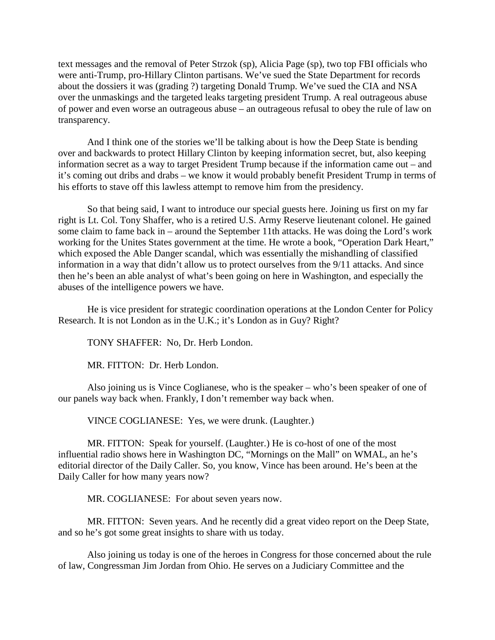text messages and the removal of Peter Strzok (sp), Alicia Page (sp), two top FBI officials who were anti-Trump, pro-Hillary Clinton partisans. We've sued the State Department for records about the dossiers it was (grading ?) targeting Donald Trump. We've sued the CIA and NSA over the unmaskings and the targeted leaks targeting president Trump. A real outrageous abuse of power and even worse an outrageous abuse – an outrageous refusal to obey the rule of law on transparency.

And I think one of the stories we'll be talking about is how the Deep State is bending over and backwards to protect Hillary Clinton by keeping information secret, but, also keeping information secret as a way to target President Trump because if the information came out – and it's coming out dribs and drabs – we know it would probably benefit President Trump in terms of his efforts to stave off this lawless attempt to remove him from the presidency.

So that being said, I want to introduce our special guests here. Joining us first on my far right is Lt. Col. Tony Shaffer, who is a retired U.S. Army Reserve lieutenant colonel. He gained some claim to fame back in – around the September 11th attacks. He was doing the Lord's work working for the Unites States government at the time. He wrote a book, "Operation Dark Heart," which exposed the Able Danger scandal, which was essentially the mishandling of classified information in a way that didn't allow us to protect ourselves from the 9/11 attacks. And since then he's been an able analyst of what's been going on here in Washington, and especially the abuses of the intelligence powers we have.

He is vice president for strategic coordination operations at the London Center for Policy Research. It is not London as in the U.K.; it's London as in Guy? Right?

TONY SHAFFER: No, Dr. Herb London.

MR. FITTON: Dr. Herb London.

Also joining us is Vince Coglianese, who is the speaker – who's been speaker of one of our panels way back when. Frankly, I don't remember way back when.

VINCE COGLIANESE: Yes, we were drunk. (Laughter.)

MR. FITTON: Speak for yourself. (Laughter.) He is co-host of one of the most influential radio shows here in Washington DC, "Mornings on the Mall" on WMAL, an he's editorial director of the Daily Caller. So, you know, Vince has been around. He's been at the Daily Caller for how many years now?

MR. COGLIANESE: For about seven years now.

MR. FITTON: Seven years. And he recently did a great video report on the Deep State, and so he's got some great insights to share with us today.

Also joining us today is one of the heroes in Congress for those concerned about the rule of law, Congressman Jim Jordan from Ohio. He serves on a Judiciary Committee and the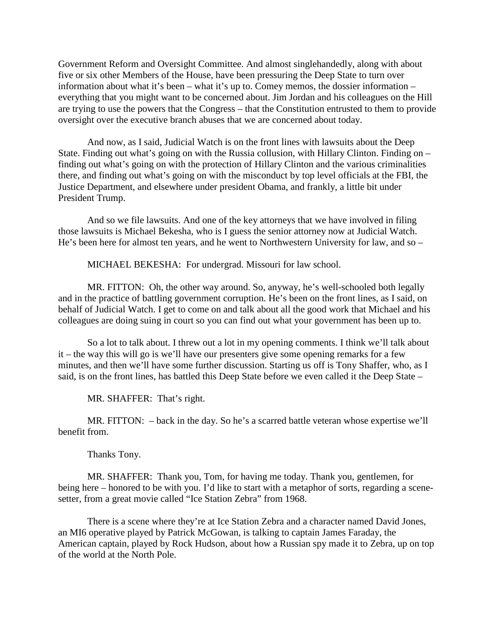Government Reform and Oversight Committee. And almost singlehandedly, along with about five or six other Members of the House, have been pressuring the Deep State to turn over information about what it's been – what it's up to. Comey memos, the dossier information – everything that you might want to be concerned about. Jim Jordan and his colleagues on the Hill are trying to use the powers that the Congress – that the Constitution entrusted to them to provide oversight over the executive branch abuses that we are concerned about today.

And now, as I said, Judicial Watch is on the front lines with lawsuits about the Deep State. Finding out what's going on with the Russia collusion, with Hillary Clinton. Finding on – finding out what's going on with the protection of Hillary Clinton and the various criminalities there, and finding out what's going on with the misconduct by top level officials at the FBI, the Justice Department, and elsewhere under president Obama, and frankly, a little bit under President Trump.

And so we file lawsuits. And one of the key attorneys that we have involved in filing those lawsuits is Michael Bekesha, who is I guess the senior attorney now at Judicial Watch. He's been here for almost ten years, and he went to Northwestern University for law, and so –

MICHAEL BEKESHA: For undergrad. Missouri for law school.

MR. FITTON: Oh, the other way around. So, anyway, he's well-schooled both legally and in the practice of battling government corruption. He's been on the front lines, as I said, on behalf of Judicial Watch. I get to come on and talk about all the good work that Michael and his colleagues are doing suing in court so you can find out what your government has been up to.

So a lot to talk about. I threw out a lot in my opening comments. I think we'll talk about it – the way this will go is we'll have our presenters give some opening remarks for a few minutes, and then we'll have some further discussion. Starting us off is Tony Shaffer, who, as I said, is on the front lines, has battled this Deep State before we even called it the Deep State –

MR. SHAFFER: That's right.

MR. FITTON: – back in the day. So he's a scarred battle veteran whose expertise we'll benefit from.

Thanks Tony.

MR. SHAFFER: Thank you, Tom, for having me today. Thank you, gentlemen, for being here – honored to be with you. I'd like to start with a metaphor of sorts, regarding a scenesetter, from a great movie called "Ice Station Zebra" from 1968.

There is a scene where they're at Ice Station Zebra and a character named David Jones, an MI6 operative played by Patrick McGowan, is talking to captain James Faraday, the American captain, played by Rock Hudson, about how a Russian spy made it to Zebra, up on top of the world at the North Pole.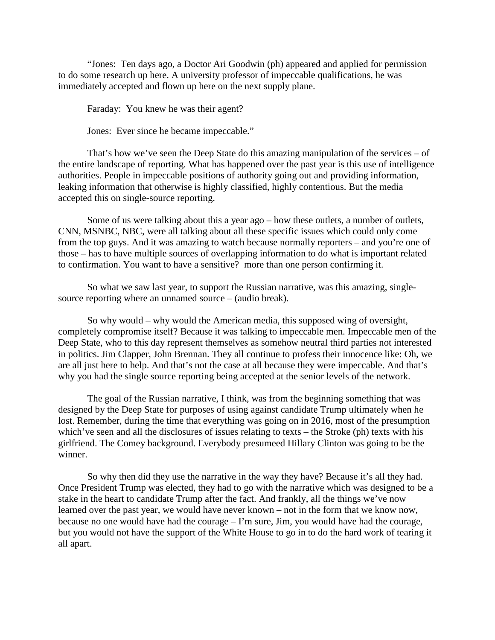"Jones: Ten days ago, a Doctor Ari Goodwin (ph) appeared and applied for permission to do some research up here. A university professor of impeccable qualifications, he was immediately accepted and flown up here on the next supply plane.

Faraday: You knew he was their agent?

Jones: Ever since he became impeccable."

That's how we've seen the Deep State do this amazing manipulation of the services – of the entire landscape of reporting. What has happened over the past year is this use of intelligence authorities. People in impeccable positions of authority going out and providing information, leaking information that otherwise is highly classified, highly contentious. But the media accepted this on single-source reporting.

Some of us were talking about this a year ago – how these outlets, a number of outlets, CNN, MSNBC, NBC, were all talking about all these specific issues which could only come from the top guys. And it was amazing to watch because normally reporters – and you're one of those – has to have multiple sources of overlapping information to do what is important related to confirmation. You want to have a sensitive? more than one person confirming it.

So what we saw last year, to support the Russian narrative, was this amazing, singlesource reporting where an unnamed source – (audio break).

So why would – why would the American media, this supposed wing of oversight, completely compromise itself? Because it was talking to impeccable men. Impeccable men of the Deep State, who to this day represent themselves as somehow neutral third parties not interested in politics. Jim Clapper, John Brennan. They all continue to profess their innocence like: Oh, we are all just here to help. And that's not the case at all because they were impeccable. And that's why you had the single source reporting being accepted at the senior levels of the network.

The goal of the Russian narrative, I think, was from the beginning something that was designed by the Deep State for purposes of using against candidate Trump ultimately when he lost. Remember, during the time that everything was going on in 2016, most of the presumption which've seen and all the disclosures of issues relating to texts – the Stroke (ph) texts with his girlfriend. The Comey background. Everybody presumeed Hillary Clinton was going to be the winner.

So why then did they use the narrative in the way they have? Because it's all they had. Once President Trump was elected, they had to go with the narrative which was designed to be a stake in the heart to candidate Trump after the fact. And frankly, all the things we've now learned over the past year, we would have never known – not in the form that we know now, because no one would have had the courage – I'm sure, Jim, you would have had the courage, but you would not have the support of the White House to go in to do the hard work of tearing it all apart.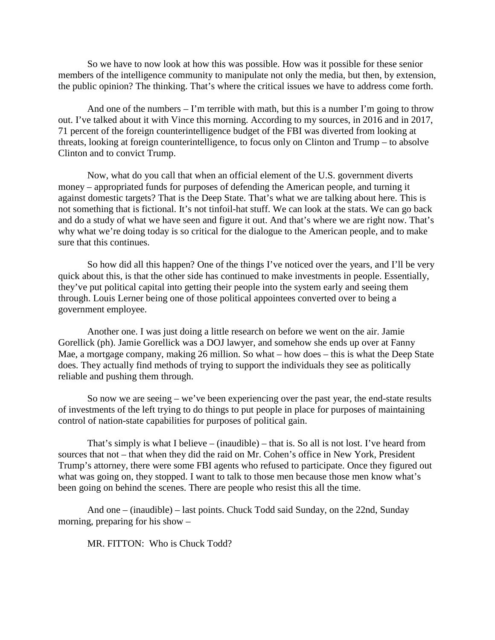So we have to now look at how this was possible. How was it possible for these senior members of the intelligence community to manipulate not only the media, but then, by extension, the public opinion? The thinking. That's where the critical issues we have to address come forth.

And one of the numbers  $-I$ 'm terrible with math, but this is a number I'm going to throw out. I've talked about it with Vince this morning. According to my sources, in 2016 and in 2017, 71 percent of the foreign counterintelligence budget of the FBI was diverted from looking at threats, looking at foreign counterintelligence, to focus only on Clinton and Trump – to absolve Clinton and to convict Trump.

Now, what do you call that when an official element of the U.S. government diverts money – appropriated funds for purposes of defending the American people, and turning it against domestic targets? That is the Deep State. That's what we are talking about here. This is not something that is fictional. It's not tinfoil-hat stuff. We can look at the stats. We can go back and do a study of what we have seen and figure it out. And that's where we are right now. That's why what we're doing today is so critical for the dialogue to the American people, and to make sure that this continues.

So how did all this happen? One of the things I've noticed over the years, and I'll be very quick about this, is that the other side has continued to make investments in people. Essentially, they've put political capital into getting their people into the system early and seeing them through. Louis Lerner being one of those political appointees converted over to being a government employee.

Another one. I was just doing a little research on before we went on the air. Jamie Gorellick (ph). Jamie Gorellick was a DOJ lawyer, and somehow she ends up over at Fanny Mae, a mortgage company, making 26 million. So what – how does – this is what the Deep State does. They actually find methods of trying to support the individuals they see as politically reliable and pushing them through.

So now we are seeing – we've been experiencing over the past year, the end-state results of investments of the left trying to do things to put people in place for purposes of maintaining control of nation-state capabilities for purposes of political gain.

That's simply is what I believe – (inaudible) – that is. So all is not lost. I've heard from sources that not – that when they did the raid on Mr. Cohen's office in New York, President Trump's attorney, there were some FBI agents who refused to participate. Once they figured out what was going on, they stopped. I want to talk to those men because those men know what's been going on behind the scenes. There are people who resist this all the time.

And one – (inaudible) – last points. Chuck Todd said Sunday, on the 22nd, Sunday morning, preparing for his show –

MR. FITTON: Who is Chuck Todd?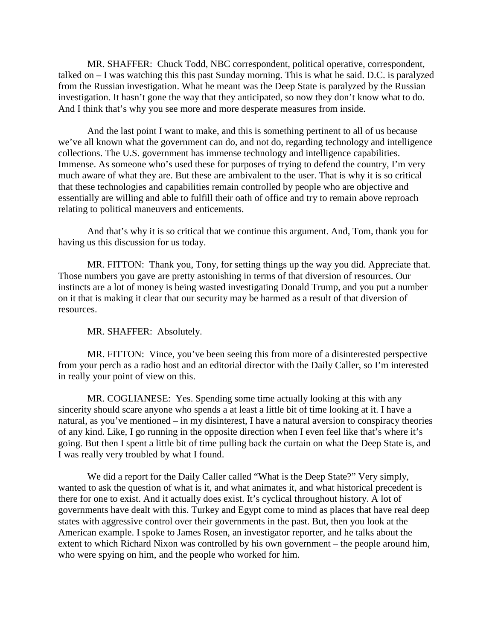MR. SHAFFER: Chuck Todd, NBC correspondent, political operative, correspondent, talked on – I was watching this this past Sunday morning. This is what he said. D.C. is paralyzed from the Russian investigation. What he meant was the Deep State is paralyzed by the Russian investigation. It hasn't gone the way that they anticipated, so now they don't know what to do. And I think that's why you see more and more desperate measures from inside.

And the last point I want to make, and this is something pertinent to all of us because we've all known what the government can do, and not do, regarding technology and intelligence collections. The U.S. government has immense technology and intelligence capabilities. Immense. As someone who's used these for purposes of trying to defend the country, I'm very much aware of what they are. But these are ambivalent to the user. That is why it is so critical that these technologies and capabilities remain controlled by people who are objective and essentially are willing and able to fulfill their oath of office and try to remain above reproach relating to political maneuvers and enticements.

And that's why it is so critical that we continue this argument. And, Tom, thank you for having us this discussion for us today.

MR. FITTON: Thank you, Tony, for setting things up the way you did. Appreciate that. Those numbers you gave are pretty astonishing in terms of that diversion of resources. Our instincts are a lot of money is being wasted investigating Donald Trump, and you put a number on it that is making it clear that our security may be harmed as a result of that diversion of resources.

MR. SHAFFER: Absolutely.

MR. FITTON: Vince, you've been seeing this from more of a disinterested perspective from your perch as a radio host and an editorial director with the Daily Caller, so I'm interested in really your point of view on this.

MR. COGLIANESE: Yes. Spending some time actually looking at this with any sincerity should scare anyone who spends a at least a little bit of time looking at it. I have a natural, as you've mentioned – in my disinterest, I have a natural aversion to conspiracy theories of any kind. Like, I go running in the opposite direction when I even feel like that's where it's going. But then I spent a little bit of time pulling back the curtain on what the Deep State is, and I was really very troubled by what I found.

We did a report for the Daily Caller called "What is the Deep State?" Very simply, wanted to ask the question of what is it, and what animates it, and what historical precedent is there for one to exist. And it actually does exist. It's cyclical throughout history. A lot of governments have dealt with this. Turkey and Egypt come to mind as places that have real deep states with aggressive control over their governments in the past. But, then you look at the American example. I spoke to James Rosen, an investigator reporter, and he talks about the extent to which Richard Nixon was controlled by his own government – the people around him, who were spying on him, and the people who worked for him.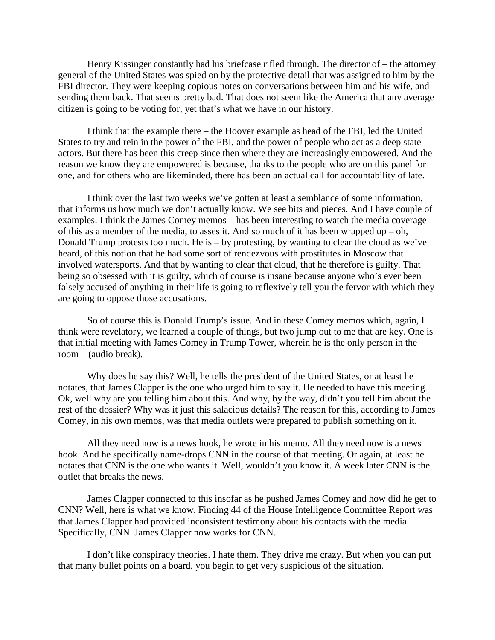Henry Kissinger constantly had his briefcase rifled through. The director of – the attorney general of the United States was spied on by the protective detail that was assigned to him by the FBI director. They were keeping copious notes on conversations between him and his wife, and sending them back. That seems pretty bad. That does not seem like the America that any average citizen is going to be voting for, yet that's what we have in our history.

I think that the example there – the Hoover example as head of the FBI, led the United States to try and rein in the power of the FBI, and the power of people who act as a deep state actors. But there has been this creep since then where they are increasingly empowered. And the reason we know they are empowered is because, thanks to the people who are on this panel for one, and for others who are likeminded, there has been an actual call for accountability of late.

I think over the last two weeks we've gotten at least a semblance of some information, that informs us how much we don't actually know. We see bits and pieces. And I have couple of examples. I think the James Comey memos – has been interesting to watch the media coverage of this as a member of the media, to asses it. And so much of it has been wrapped up – oh, Donald Trump protests too much. He is – by protesting, by wanting to clear the cloud as we've heard, of this notion that he had some sort of rendezvous with prostitutes in Moscow that involved watersports. And that by wanting to clear that cloud, that he therefore is guilty. That being so obsessed with it is guilty, which of course is insane because anyone who's ever been falsely accused of anything in their life is going to reflexively tell you the fervor with which they are going to oppose those accusations.

So of course this is Donald Trump's issue. And in these Comey memos which, again, I think were revelatory, we learned a couple of things, but two jump out to me that are key. One is that initial meeting with James Comey in Trump Tower, wherein he is the only person in the room – (audio break).

Why does he say this? Well, he tells the president of the United States, or at least he notates, that James Clapper is the one who urged him to say it. He needed to have this meeting. Ok, well why are you telling him about this. And why, by the way, didn't you tell him about the rest of the dossier? Why was it just this salacious details? The reason for this, according to James Comey, in his own memos, was that media outlets were prepared to publish something on it.

All they need now is a news hook, he wrote in his memo. All they need now is a news hook. And he specifically name-drops CNN in the course of that meeting. Or again, at least he notates that CNN is the one who wants it. Well, wouldn't you know it. A week later CNN is the outlet that breaks the news.

James Clapper connected to this insofar as he pushed James Comey and how did he get to CNN? Well, here is what we know. Finding 44 of the House Intelligence Committee Report was that James Clapper had provided inconsistent testimony about his contacts with the media. Specifically, CNN. James Clapper now works for CNN.

I don't like conspiracy theories. I hate them. They drive me crazy. But when you can put that many bullet points on a board, you begin to get very suspicious of the situation.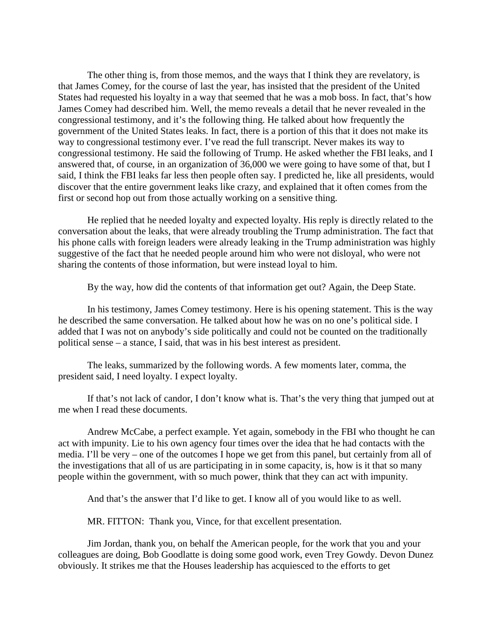The other thing is, from those memos, and the ways that I think they are revelatory, is that James Comey, for the course of last the year, has insisted that the president of the United States had requested his loyalty in a way that seemed that he was a mob boss. In fact, that's how James Comey had described him. Well, the memo reveals a detail that he never revealed in the congressional testimony, and it's the following thing. He talked about how frequently the government of the United States leaks. In fact, there is a portion of this that it does not make its way to congressional testimony ever. I've read the full transcript. Never makes its way to congressional testimony. He said the following of Trump. He asked whether the FBI leaks, and I answered that, of course, in an organization of 36,000 we were going to have some of that, but I said, I think the FBI leaks far less then people often say. I predicted he, like all presidents, would discover that the entire government leaks like crazy, and explained that it often comes from the first or second hop out from those actually working on a sensitive thing.

He replied that he needed loyalty and expected loyalty. His reply is directly related to the conversation about the leaks, that were already troubling the Trump administration. The fact that his phone calls with foreign leaders were already leaking in the Trump administration was highly suggestive of the fact that he needed people around him who were not disloyal, who were not sharing the contents of those information, but were instead loyal to him.

By the way, how did the contents of that information get out? Again, the Deep State.

In his testimony, James Comey testimony. Here is his opening statement. This is the way he described the same conversation. He talked about how he was on no one's political side. I added that I was not on anybody's side politically and could not be counted on the traditionally political sense – a stance, I said, that was in his best interest as president.

The leaks, summarized by the following words. A few moments later, comma, the president said, I need loyalty. I expect loyalty.

If that's not lack of candor, I don't know what is. That's the very thing that jumped out at me when I read these documents.

Andrew McCabe, a perfect example. Yet again, somebody in the FBI who thought he can act with impunity. Lie to his own agency four times over the idea that he had contacts with the media. I'll be very – one of the outcomes I hope we get from this panel, but certainly from all of the investigations that all of us are participating in in some capacity, is, how is it that so many people within the government, with so much power, think that they can act with impunity.

And that's the answer that I'd like to get. I know all of you would like to as well.

MR. FITTON: Thank you, Vince, for that excellent presentation.

Jim Jordan, thank you, on behalf the American people, for the work that you and your colleagues are doing, Bob Goodlatte is doing some good work, even Trey Gowdy. Devon Dunez obviously. It strikes me that the Houses leadership has acquiesced to the efforts to get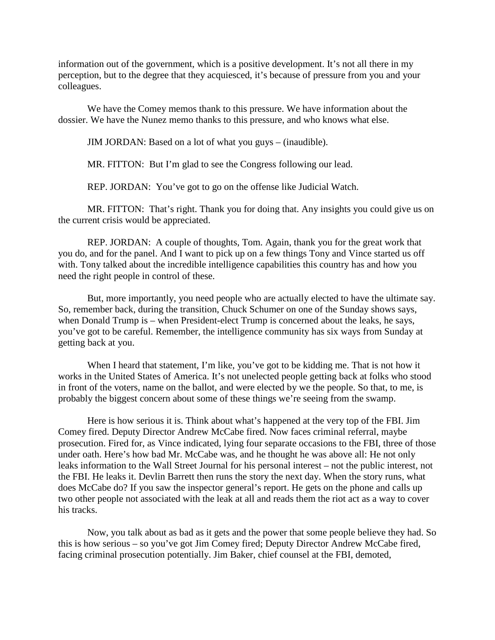information out of the government, which is a positive development. It's not all there in my perception, but to the degree that they acquiesced, it's because of pressure from you and your colleagues.

We have the Comey memos thank to this pressure. We have information about the dossier. We have the Nunez memo thanks to this pressure, and who knows what else.

JIM JORDAN: Based on a lot of what you guys – (inaudible).

MR. FITTON: But I'm glad to see the Congress following our lead.

REP. JORDAN: You've got to go on the offense like Judicial Watch.

MR. FITTON: That's right. Thank you for doing that. Any insights you could give us on the current crisis would be appreciated.

REP. JORDAN: A couple of thoughts, Tom. Again, thank you for the great work that you do, and for the panel. And I want to pick up on a few things Tony and Vince started us off with. Tony talked about the incredible intelligence capabilities this country has and how you need the right people in control of these.

But, more importantly, you need people who are actually elected to have the ultimate say. So, remember back, during the transition, Chuck Schumer on one of the Sunday shows says, when Donald Trump is – when President-elect Trump is concerned about the leaks, he says, you've got to be careful. Remember, the intelligence community has six ways from Sunday at getting back at you.

When I heard that statement, I'm like, you've got to be kidding me. That is not how it works in the United States of America. It's not unelected people getting back at folks who stood in front of the voters, name on the ballot, and were elected by we the people. So that, to me, is probably the biggest concern about some of these things we're seeing from the swamp.

Here is how serious it is. Think about what's happened at the very top of the FBI. Jim Comey fired. Deputy Director Andrew McCabe fired. Now faces criminal referral, maybe prosecution. Fired for, as Vince indicated, lying four separate occasions to the FBI, three of those under oath. Here's how bad Mr. McCabe was, and he thought he was above all: He not only leaks information to the Wall Street Journal for his personal interest – not the public interest, not the FBI. He leaks it. Devlin Barrett then runs the story the next day. When the story runs, what does McCabe do? If you saw the inspector general's report. He gets on the phone and calls up two other people not associated with the leak at all and reads them the riot act as a way to cover his tracks.

Now, you talk about as bad as it gets and the power that some people believe they had. So this is how serious – so you've got Jim Comey fired; Deputy Director Andrew McCabe fired, facing criminal prosecution potentially. Jim Baker, chief counsel at the FBI, demoted,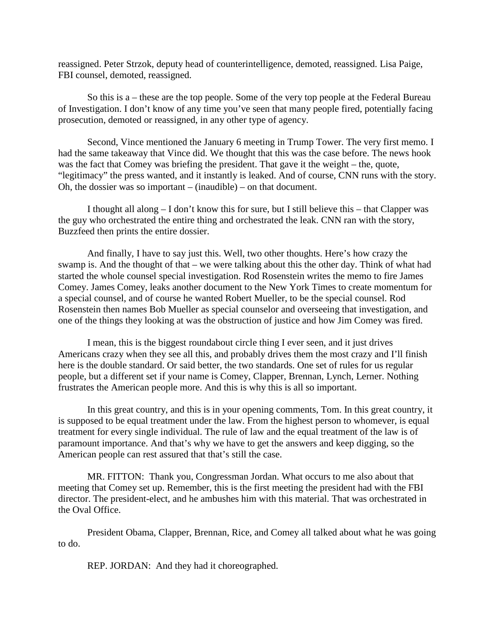reassigned. Peter Strzok, deputy head of counterintelligence, demoted, reassigned. Lisa Paige, FBI counsel, demoted, reassigned.

So this is a – these are the top people. Some of the very top people at the Federal Bureau of Investigation. I don't know of any time you've seen that many people fired, potentially facing prosecution, demoted or reassigned, in any other type of agency.

Second, Vince mentioned the January 6 meeting in Trump Tower. The very first memo. I had the same takeaway that Vince did. We thought that this was the case before. The news hook was the fact that Comey was briefing the president. That gave it the weight – the, quote, "legitimacy" the press wanted, and it instantly is leaked. And of course, CNN runs with the story. Oh, the dossier was so important – (inaudible) – on that document.

I thought all along – I don't know this for sure, but I still believe this – that Clapper was the guy who orchestrated the entire thing and orchestrated the leak. CNN ran with the story, Buzzfeed then prints the entire dossier.

And finally, I have to say just this. Well, two other thoughts. Here's how crazy the swamp is. And the thought of that – we were talking about this the other day. Think of what had started the whole counsel special investigation. Rod Rosenstein writes the memo to fire James Comey. James Comey, leaks another document to the New York Times to create momentum for a special counsel, and of course he wanted Robert Mueller, to be the special counsel. Rod Rosenstein then names Bob Mueller as special counselor and overseeing that investigation, and one of the things they looking at was the obstruction of justice and how Jim Comey was fired.

I mean, this is the biggest roundabout circle thing I ever seen, and it just drives Americans crazy when they see all this, and probably drives them the most crazy and I'll finish here is the double standard. Or said better, the two standards. One set of rules for us regular people, but a different set if your name is Comey, Clapper, Brennan, Lynch, Lerner. Nothing frustrates the American people more. And this is why this is all so important.

In this great country, and this is in your opening comments, Tom. In this great country, it is supposed to be equal treatment under the law. From the highest person to whomever, is equal treatment for every single individual. The rule of law and the equal treatment of the law is of paramount importance. And that's why we have to get the answers and keep digging, so the American people can rest assured that that's still the case.

MR. FITTON: Thank you, Congressman Jordan. What occurs to me also about that meeting that Comey set up. Remember, this is the first meeting the president had with the FBI director. The president-elect, and he ambushes him with this material. That was orchestrated in the Oval Office.

President Obama, Clapper, Brennan, Rice, and Comey all talked about what he was going to do.

REP. JORDAN: And they had it choreographed.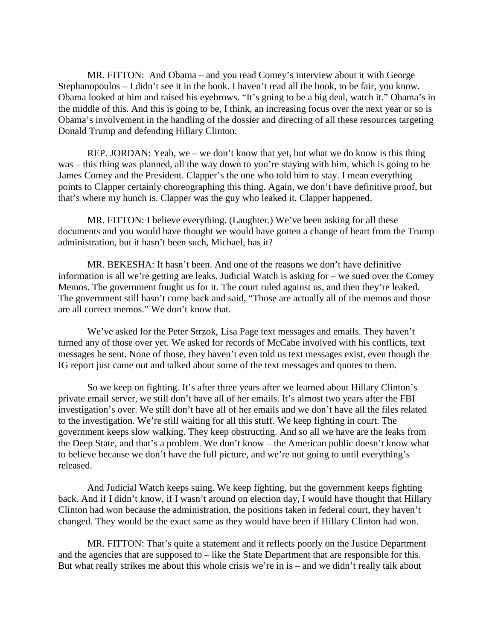MR. FITTON: And Obama – and you read Comey's interview about it with George Stephanopoulos – I didn't see it in the book. I haven't read all the book, to be fair, you know. Obama looked at him and raised his eyebrows. "It's going to be a big deal, watch it." Obama's in the middle of this. And this is going to be, I think, an increasing focus over the next year or so is Obama's involvement in the handling of the dossier and directing of all these resources targeting Donald Trump and defending Hillary Clinton.

REP. JORDAN: Yeah, we – we don't know that yet, but what we do know is this thing was – this thing was planned, all the way down to you're staying with him, which is going to be James Comey and the President. Clapper's the one who told him to stay. I mean everything points to Clapper certainly choreographing this thing. Again, we don't have definitive proof, but that's where my hunch is. Clapper was the guy who leaked it. Clapper happened.

MR. FITTON: I believe everything. (Laughter.) We've been asking for all these documents and you would have thought we would have gotten a change of heart from the Trump administration, but it hasn't been such, Michael, has it?

MR. BEKESHA: It hasn't been. And one of the reasons we don't have definitive information is all we're getting are leaks. Judicial Watch is asking for – we sued over the Comey Memos. The government fought us for it. The court ruled against us, and then they're leaked. The government still hasn't come back and said, "Those are actually all of the memos and those are all correct memos." We don't know that.

We've asked for the Peter Strzok, Lisa Page text messages and emails. They haven't turned any of those over yet. We asked for records of McCabe involved with his conflicts, text messages he sent. None of those, they haven't even told us text messages exist, even though the IG report just came out and talked about some of the text messages and quotes to them.

So we keep on fighting. It's after three years after we learned about Hillary Clinton's private email server, we still don't have all of her emails. It's almost two years after the FBI investigation's over. We still don't have all of her emails and we don't have all the files related to the investigation. We're still waiting for all this stuff. We keep fighting in court. The government keeps slow walking. They keep obstructing. And so all we have are the leaks from the Deep State, and that's a problem. We don't know – the American public doesn't know what to believe because we don't have the full picture, and we're not going to until everything's released.

And Judicial Watch keeps suing. We keep fighting, but the government keeps fighting back. And if I didn't know, if I wasn't around on election day, I would have thought that Hillary Clinton had won because the administration, the positions taken in federal court, they haven't changed. They would be the exact same as they would have been if Hillary Clinton had won.

MR. FITTON: That's quite a statement and it reflects poorly on the Justice Department and the agencies that are supposed to – like the State Department that are responsible for this. But what really strikes me about this whole crisis we're in is – and we didn't really talk about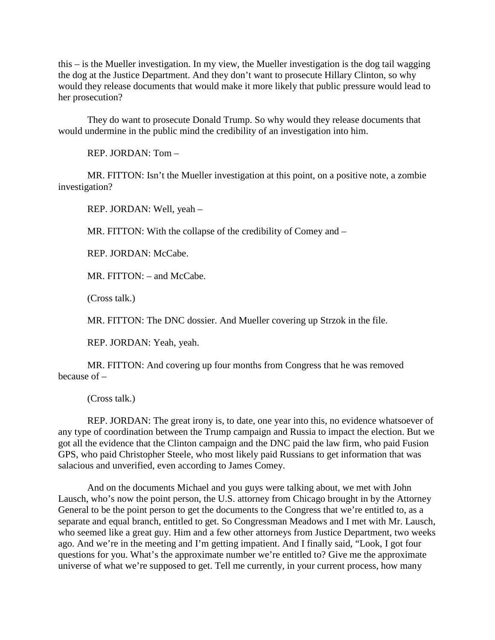this – is the Mueller investigation. In my view, the Mueller investigation is the dog tail wagging the dog at the Justice Department. And they don't want to prosecute Hillary Clinton, so why would they release documents that would make it more likely that public pressure would lead to her prosecution?

They do want to prosecute Donald Trump. So why would they release documents that would undermine in the public mind the credibility of an investigation into him.

REP. JORDAN: Tom –

MR. FITTON: Isn't the Mueller investigation at this point, on a positive note, a zombie investigation?

REP. JORDAN: Well, yeah –

MR. FITTON: With the collapse of the credibility of Comey and  $-$ 

REP. JORDAN: McCabe.

MR. FITTON: – and McCabe.

(Cross talk.)

MR. FITTON: The DNC dossier. And Mueller covering up Strzok in the file.

REP. JORDAN: Yeah, yeah.

MR. FITTON: And covering up four months from Congress that he was removed because of –

(Cross talk.)

REP. JORDAN: The great irony is, to date, one year into this, no evidence whatsoever of any type of coordination between the Trump campaign and Russia to impact the election. But we got all the evidence that the Clinton campaign and the DNC paid the law firm, who paid Fusion GPS, who paid Christopher Steele, who most likely paid Russians to get information that was salacious and unverified, even according to James Comey.

And on the documents Michael and you guys were talking about, we met with John Lausch, who's now the point person, the U.S. attorney from Chicago brought in by the Attorney General to be the point person to get the documents to the Congress that we're entitled to, as a separate and equal branch, entitled to get. So Congressman Meadows and I met with Mr. Lausch, who seemed like a great guy. Him and a few other attorneys from Justice Department, two weeks ago. And we're in the meeting and I'm getting impatient. And I finally said, "Look, I got four questions for you. What's the approximate number we're entitled to? Give me the approximate universe of what we're supposed to get. Tell me currently, in your current process, how many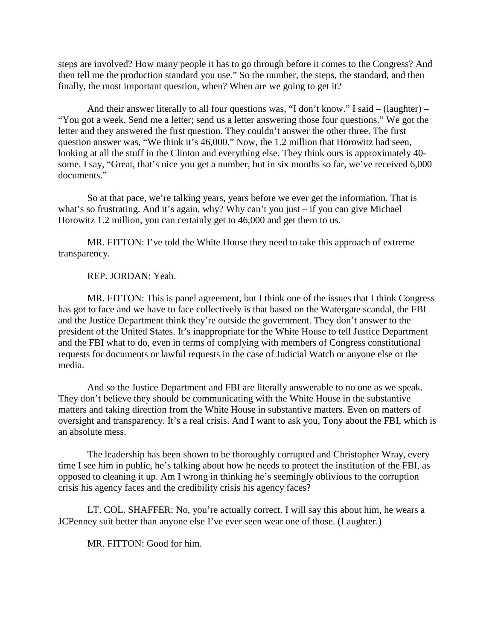steps are involved? How many people it has to go through before it comes to the Congress? And then tell me the production standard you use." So the number, the steps, the standard, and then finally, the most important question, when? When are we going to get it?

And their answer literally to all four questions was, "I don't know." I said – (laughter) – "You got a week. Send me a letter; send us a letter answering those four questions." We got the letter and they answered the first question. They couldn't answer the other three. The first question answer was, "We think it's 46,000." Now, the 1.2 million that Horowitz had seen, looking at all the stuff in the Clinton and everything else. They think ours is approximately 40 some. I say, "Great, that's nice you get a number, but in six months so far, we've received 6,000 documents."

So at that pace, we're talking years, years before we ever get the information. That is what's so frustrating. And it's again, why? Why can't you just – if you can give Michael Horowitz 1.2 million, you can certainly get to 46,000 and get them to us.

MR. FITTON: I've told the White House they need to take this approach of extreme transparency.

REP. JORDAN: Yeah.

MR. FITTON: This is panel agreement, but I think one of the issues that I think Congress has got to face and we have to face collectively is that based on the Watergate scandal, the FBI and the Justice Department think they're outside the government. They don't answer to the president of the United States. It's inappropriate for the White House to tell Justice Department and the FBI what to do, even in terms of complying with members of Congress constitutional requests for documents or lawful requests in the case of Judicial Watch or anyone else or the media.

And so the Justice Department and FBI are literally answerable to no one as we speak. They don't believe they should be communicating with the White House in the substantive matters and taking direction from the White House in substantive matters. Even on matters of oversight and transparency. It's a real crisis. And I want to ask you, Tony about the FBI, which is an absolute mess.

The leadership has been shown to be thoroughly corrupted and Christopher Wray, every time I see him in public, he's talking about how he needs to protect the institution of the FBI, as opposed to cleaning it up. Am I wrong in thinking he's seemingly oblivious to the corruption crisis his agency faces and the credibility crisis his agency faces?

LT. COL. SHAFFER: No, you're actually correct. I will say this about him, he wears a JCPenney suit better than anyone else I've ever seen wear one of those. (Laughter.)

MR. FITTON: Good for him.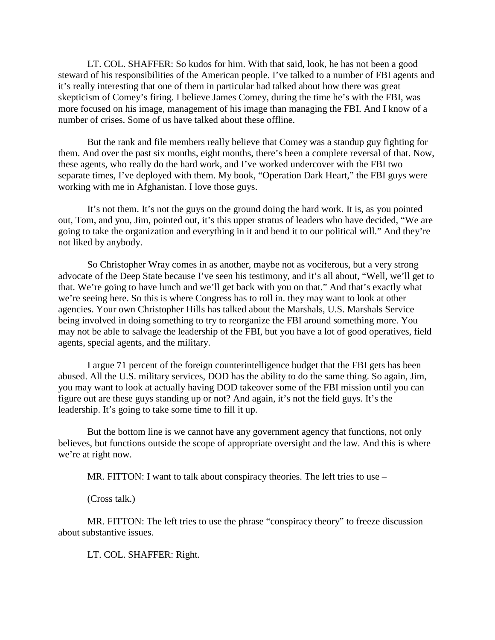LT. COL. SHAFFER: So kudos for him. With that said, look, he has not been a good steward of his responsibilities of the American people. I've talked to a number of FBI agents and it's really interesting that one of them in particular had talked about how there was great skepticism of Comey's firing. I believe James Comey, during the time he's with the FBI, was more focused on his image, management of his image than managing the FBI. And I know of a number of crises. Some of us have talked about these offline.

But the rank and file members really believe that Comey was a standup guy fighting for them. And over the past six months, eight months, there's been a complete reversal of that. Now, these agents, who really do the hard work, and I've worked undercover with the FBI two separate times, I've deployed with them. My book, "Operation Dark Heart," the FBI guys were working with me in Afghanistan. I love those guys.

It's not them. It's not the guys on the ground doing the hard work. It is, as you pointed out, Tom, and you, Jim, pointed out, it's this upper stratus of leaders who have decided, "We are going to take the organization and everything in it and bend it to our political will." And they're not liked by anybody.

So Christopher Wray comes in as another, maybe not as vociferous, but a very strong advocate of the Deep State because I've seen his testimony, and it's all about, "Well, we'll get to that. We're going to have lunch and we'll get back with you on that." And that's exactly what we're seeing here. So this is where Congress has to roll in. they may want to look at other agencies. Your own Christopher Hills has talked about the Marshals, U.S. Marshals Service being involved in doing something to try to reorganize the FBI around something more. You may not be able to salvage the leadership of the FBI, but you have a lot of good operatives, field agents, special agents, and the military.

I argue 71 percent of the foreign counterintelligence budget that the FBI gets has been abused. All the U.S. military services, DOD has the ability to do the same thing. So again, Jim, you may want to look at actually having DOD takeover some of the FBI mission until you can figure out are these guys standing up or not? And again, it's not the field guys. It's the leadership. It's going to take some time to fill it up.

But the bottom line is we cannot have any government agency that functions, not only believes, but functions outside the scope of appropriate oversight and the law. And this is where we're at right now.

MR. FITTON: I want to talk about conspiracy theories. The left tries to use –

(Cross talk.)

MR. FITTON: The left tries to use the phrase "conspiracy theory" to freeze discussion about substantive issues.

LT. COL. SHAFFER: Right.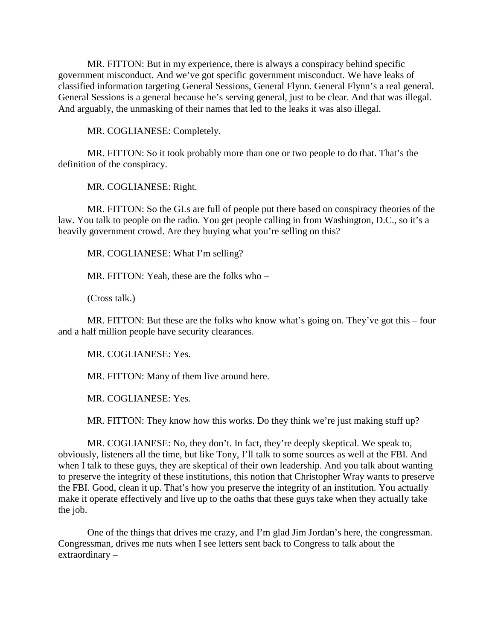MR. FITTON: But in my experience, there is always a conspiracy behind specific government misconduct. And we've got specific government misconduct. We have leaks of classified information targeting General Sessions, General Flynn. General Flynn's a real general. General Sessions is a general because he's serving general, just to be clear. And that was illegal. And arguably, the unmasking of their names that led to the leaks it was also illegal.

MR. COGLIANESE: Completely.

MR. FITTON: So it took probably more than one or two people to do that. That's the definition of the conspiracy.

MR. COGLIANESE: Right.

MR. FITTON: So the GLs are full of people put there based on conspiracy theories of the law. You talk to people on the radio. You get people calling in from Washington, D.C., so it's a heavily government crowd. Are they buying what you're selling on this?

MR. COGLIANESE: What I'm selling?

MR. FITTON: Yeah, these are the folks who –

(Cross talk.)

MR. FITTON: But these are the folks who know what's going on. They've got this – four and a half million people have security clearances.

MR. COGLIANESE: Yes.

MR. FITTON: Many of them live around here.

MR. COGLIANESE: Yes.

MR. FITTON: They know how this works. Do they think we're just making stuff up?

MR. COGLIANESE: No, they don't. In fact, they're deeply skeptical. We speak to, obviously, listeners all the time, but like Tony, I'll talk to some sources as well at the FBI. And when I talk to these guys, they are skeptical of their own leadership. And you talk about wanting to preserve the integrity of these institutions, this notion that Christopher Wray wants to preserve the FBI. Good, clean it up. That's how you preserve the integrity of an institution. You actually make it operate effectively and live up to the oaths that these guys take when they actually take the job.

One of the things that drives me crazy, and I'm glad Jim Jordan's here, the congressman. Congressman, drives me nuts when I see letters sent back to Congress to talk about the extraordinary –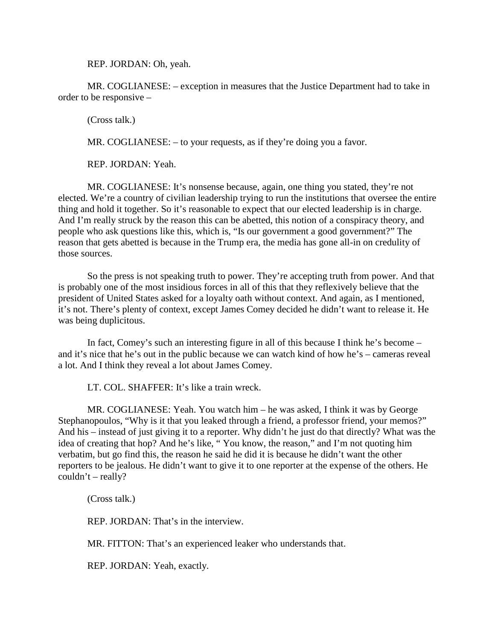REP. JORDAN: Oh, yeah.

MR. COGLIANESE: – exception in measures that the Justice Department had to take in order to be responsive –

(Cross talk.)

MR. COGLIANESE: – to your requests, as if they're doing you a favor.

REP. JORDAN: Yeah.

MR. COGLIANESE: It's nonsense because, again, one thing you stated, they're not elected. We're a country of civilian leadership trying to run the institutions that oversee the entire thing and hold it together. So it's reasonable to expect that our elected leadership is in charge. And I'm really struck by the reason this can be abetted, this notion of a conspiracy theory, and people who ask questions like this, which is, "Is our government a good government?" The reason that gets abetted is because in the Trump era, the media has gone all-in on credulity of those sources.

So the press is not speaking truth to power. They're accepting truth from power. And that is probably one of the most insidious forces in all of this that they reflexively believe that the president of United States asked for a loyalty oath without context. And again, as I mentioned, it's not. There's plenty of context, except James Comey decided he didn't want to release it. He was being duplicitous.

In fact, Comey's such an interesting figure in all of this because I think he's become – and it's nice that he's out in the public because we can watch kind of how he's – cameras reveal a lot. And I think they reveal a lot about James Comey.

LT. COL. SHAFFER: It's like a train wreck.

MR. COGLIANESE: Yeah. You watch him – he was asked, I think it was by George Stephanopoulos, "Why is it that you leaked through a friend, a professor friend, your memos?" And his – instead of just giving it to a reporter. Why didn't he just do that directly? What was the idea of creating that hop? And he's like, " You know, the reason," and I'm not quoting him verbatim, but go find this, the reason he said he did it is because he didn't want the other reporters to be jealous. He didn't want to give it to one reporter at the expense of the others. He  $couldn't - really?$ 

(Cross talk.)

REP. JORDAN: That's in the interview.

MR. FITTON: That's an experienced leaker who understands that.

REP. JORDAN: Yeah, exactly.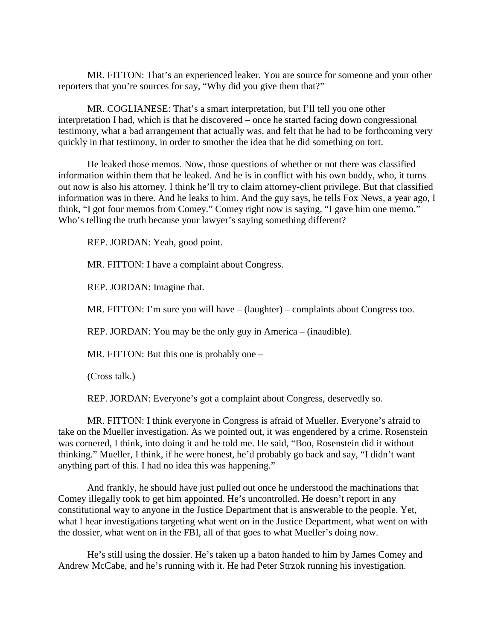MR. FITTON: That's an experienced leaker. You are source for someone and your other reporters that you're sources for say, "Why did you give them that?"

MR. COGLIANESE: That's a smart interpretation, but I'll tell you one other interpretation I had, which is that he discovered – once he started facing down congressional testimony, what a bad arrangement that actually was, and felt that he had to be forthcoming very quickly in that testimony, in order to smother the idea that he did something on tort.

He leaked those memos. Now, those questions of whether or not there was classified information within them that he leaked. And he is in conflict with his own buddy, who, it turns out now is also his attorney. I think he'll try to claim attorney-client privilege. But that classified information was in there. And he leaks to him. And the guy says, he tells Fox News, a year ago, I think, "I got four memos from Comey." Comey right now is saying, "I gave him one memo." Who's telling the truth because your lawyer's saying something different?

REP. JORDAN: Yeah, good point.

MR. FITTON: I have a complaint about Congress.

REP. JORDAN: Imagine that.

MR. FITTON: I'm sure you will have – (laughter) – complaints about Congress too.

REP. JORDAN: You may be the only guy in America – (inaudible).

MR. FITTON: But this one is probably one –

(Cross talk.)

REP. JORDAN: Everyone's got a complaint about Congress, deservedly so.

MR. FITTON: I think everyone in Congress is afraid of Mueller. Everyone's afraid to take on the Mueller investigation. As we pointed out, it was engendered by a crime. Rosenstein was cornered, I think, into doing it and he told me. He said, "Boo, Rosenstein did it without thinking." Mueller, I think, if he were honest, he'd probably go back and say, "I didn't want anything part of this. I had no idea this was happening."

And frankly, he should have just pulled out once he understood the machinations that Comey illegally took to get him appointed. He's uncontrolled. He doesn't report in any constitutional way to anyone in the Justice Department that is answerable to the people. Yet, what I hear investigations targeting what went on in the Justice Department, what went on with the dossier, what went on in the FBI, all of that goes to what Mueller's doing now.

He's still using the dossier. He's taken up a baton handed to him by James Comey and Andrew McCabe, and he's running with it. He had Peter Strzok running his investigation.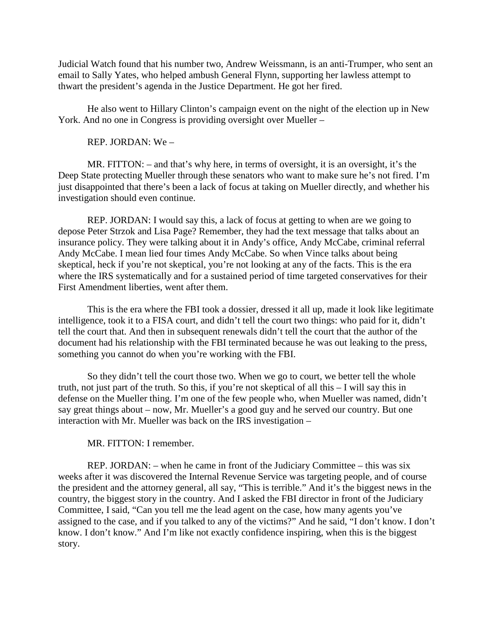Judicial Watch found that his number two, Andrew Weissmann, is an anti-Trumper, who sent an email to Sally Yates, who helped ambush General Flynn, supporting her lawless attempt to thwart the president's agenda in the Justice Department. He got her fired.

He also went to Hillary Clinton's campaign event on the night of the election up in New York. And no one in Congress is providing oversight over Mueller –

REP. JORDAN: We –

MR. FITTON: – and that's why here, in terms of oversight, it is an oversight, it's the Deep State protecting Mueller through these senators who want to make sure he's not fired. I'm just disappointed that there's been a lack of focus at taking on Mueller directly, and whether his investigation should even continue.

REP. JORDAN: I would say this, a lack of focus at getting to when are we going to depose Peter Strzok and Lisa Page? Remember, they had the text message that talks about an insurance policy. They were talking about it in Andy's office, Andy McCabe, criminal referral Andy McCabe. I mean lied four times Andy McCabe. So when Vince talks about being skeptical, heck if you're not skeptical, you're not looking at any of the facts. This is the era where the IRS systematically and for a sustained period of time targeted conservatives for their First Amendment liberties, went after them.

This is the era where the FBI took a dossier, dressed it all up, made it look like legitimate intelligence, took it to a FISA court, and didn't tell the court two things: who paid for it, didn't tell the court that. And then in subsequent renewals didn't tell the court that the author of the document had his relationship with the FBI terminated because he was out leaking to the press, something you cannot do when you're working with the FBI.

So they didn't tell the court those two. When we go to court, we better tell the whole truth, not just part of the truth. So this, if you're not skeptical of all this – I will say this in defense on the Mueller thing. I'm one of the few people who, when Mueller was named, didn't say great things about – now, Mr. Mueller's a good guy and he served our country. But one interaction with Mr. Mueller was back on the IRS investigation –

#### MR. FITTON: I remember.

REP. JORDAN: – when he came in front of the Judiciary Committee – this was six weeks after it was discovered the Internal Revenue Service was targeting people, and of course the president and the attorney general, all say, "This is terrible." And it's the biggest news in the country, the biggest story in the country. And I asked the FBI director in front of the Judiciary Committee, I said, "Can you tell me the lead agent on the case, how many agents you've assigned to the case, and if you talked to any of the victims?" And he said, "I don't know. I don't know. I don't know." And I'm like not exactly confidence inspiring, when this is the biggest story.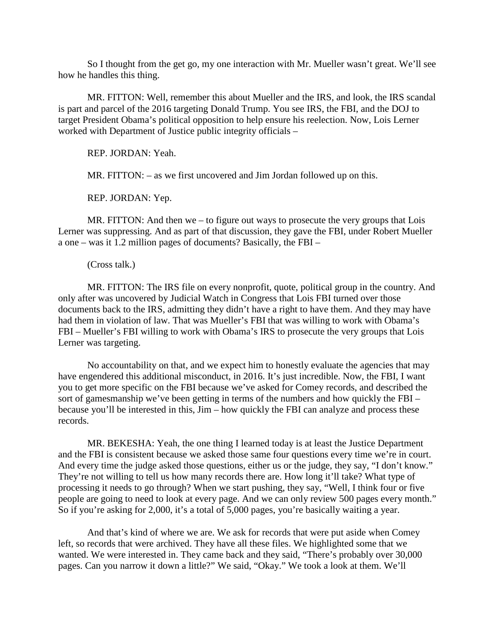So I thought from the get go, my one interaction with Mr. Mueller wasn't great. We'll see how he handles this thing.

MR. FITTON: Well, remember this about Mueller and the IRS, and look, the IRS scandal is part and parcel of the 2016 targeting Donald Trump. You see IRS, the FBI, and the DOJ to target President Obama's political opposition to help ensure his reelection. Now, Lois Lerner worked with Department of Justice public integrity officials –

REP. JORDAN: Yeah.

MR. FITTON: – as we first uncovered and Jim Jordan followed up on this.

REP. JORDAN: Yep.

MR. FITTON: And then we – to figure out ways to prosecute the very groups that Lois Lerner was suppressing. And as part of that discussion, they gave the FBI, under Robert Mueller a one – was it 1.2 million pages of documents? Basically, the FBI –

#### (Cross talk.)

MR. FITTON: The IRS file on every nonprofit, quote, political group in the country. And only after was uncovered by Judicial Watch in Congress that Lois FBI turned over those documents back to the IRS, admitting they didn't have a right to have them. And they may have had them in violation of law. That was Mueller's FBI that was willing to work with Obama's FBI – Mueller's FBI willing to work with Obama's IRS to prosecute the very groups that Lois Lerner was targeting.

No accountability on that, and we expect him to honestly evaluate the agencies that may have engendered this additional misconduct, in 2016. It's just incredible. Now, the FBI, I want you to get more specific on the FBI because we've asked for Comey records, and described the sort of gamesmanship we've been getting in terms of the numbers and how quickly the FBI – because you'll be interested in this, Jim – how quickly the FBI can analyze and process these records.

MR. BEKESHA: Yeah, the one thing I learned today is at least the Justice Department and the FBI is consistent because we asked those same four questions every time we're in court. And every time the judge asked those questions, either us or the judge, they say, "I don't know." They're not willing to tell us how many records there are. How long it'll take? What type of processing it needs to go through? When we start pushing, they say, "Well, I think four or five people are going to need to look at every page. And we can only review 500 pages every month." So if you're asking for 2,000, it's a total of 5,000 pages, you're basically waiting a year.

And that's kind of where we are. We ask for records that were put aside when Comey left, so records that were archived. They have all these files. We highlighted some that we wanted. We were interested in. They came back and they said, "There's probably over 30,000 pages. Can you narrow it down a little?" We said, "Okay." We took a look at them. We'll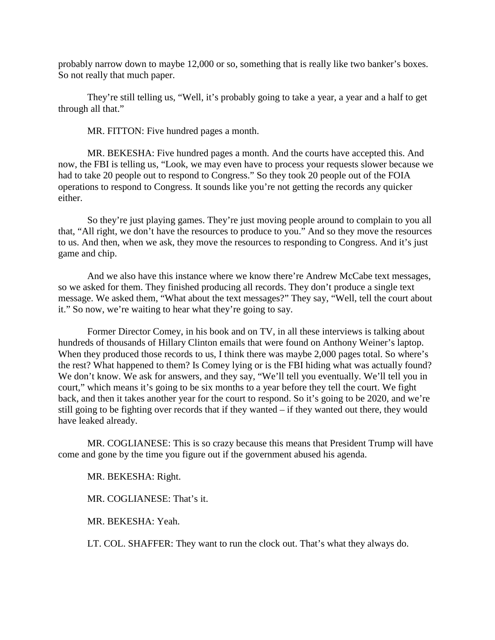probably narrow down to maybe 12,000 or so, something that is really like two banker's boxes. So not really that much paper.

They're still telling us, "Well, it's probably going to take a year, a year and a half to get through all that."

MR. FITTON: Five hundred pages a month.

MR. BEKESHA: Five hundred pages a month. And the courts have accepted this. And now, the FBI is telling us, "Look, we may even have to process your requests slower because we had to take 20 people out to respond to Congress." So they took 20 people out of the FOIA operations to respond to Congress. It sounds like you're not getting the records any quicker either.

So they're just playing games. They're just moving people around to complain to you all that, "All right, we don't have the resources to produce to you." And so they move the resources to us. And then, when we ask, they move the resources to responding to Congress. And it's just game and chip.

And we also have this instance where we know there're Andrew McCabe text messages, so we asked for them. They finished producing all records. They don't produce a single text message. We asked them, "What about the text messages?" They say, "Well, tell the court about it." So now, we're waiting to hear what they're going to say.

Former Director Comey, in his book and on TV, in all these interviews is talking about hundreds of thousands of Hillary Clinton emails that were found on Anthony Weiner's laptop. When they produced those records to us, I think there was maybe 2,000 pages total. So where's the rest? What happened to them? Is Comey lying or is the FBI hiding what was actually found? We don't know. We ask for answers, and they say, "We'll tell you eventually. We'll tell you in court," which means it's going to be six months to a year before they tell the court. We fight back, and then it takes another year for the court to respond. So it's going to be 2020, and we're still going to be fighting over records that if they wanted – if they wanted out there, they would have leaked already.

MR. COGLIANESE: This is so crazy because this means that President Trump will have come and gone by the time you figure out if the government abused his agenda.

MR. BEKESHA: Right.

MR. COGLIANESE: That's it.

MR. BEKESHA: Yeah.

LT. COL. SHAFFER: They want to run the clock out. That's what they always do.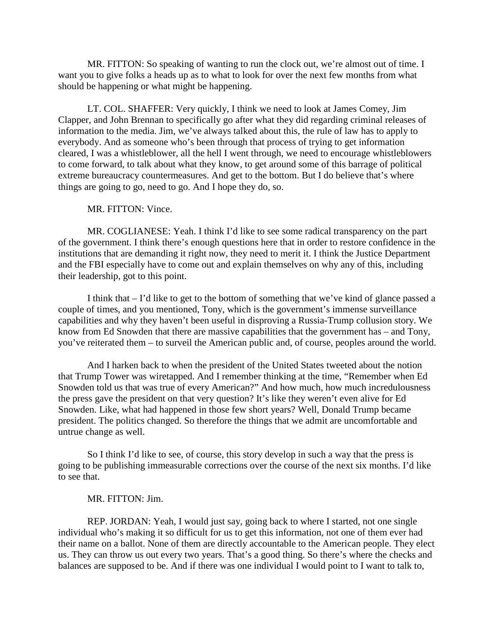MR. FITTON: So speaking of wanting to run the clock out, we're almost out of time. I want you to give folks a heads up as to what to look for over the next few months from what should be happening or what might be happening.

LT. COL. SHAFFER: Very quickly, I think we need to look at James Comey, Jim Clapper, and John Brennan to specifically go after what they did regarding criminal releases of information to the media. Jim, we've always talked about this, the rule of law has to apply to everybody. And as someone who's been through that process of trying to get information cleared, I was a whistleblower, all the hell I went through, we need to encourage whistleblowers to come forward, to talk about what they know, to get around some of this barrage of political extreme bureaucracy countermeasures. And get to the bottom. But I do believe that's where things are going to go, need to go. And I hope they do, so.

MR. FITTON: Vince.

MR. COGLIANESE: Yeah. I think I'd like to see some radical transparency on the part of the government. I think there's enough questions here that in order to restore confidence in the institutions that are demanding it right now, they need to merit it. I think the Justice Department and the FBI especially have to come out and explain themselves on why any of this, including their leadership, got to this point.

I think that – I'd like to get to the bottom of something that we've kind of glance passed a couple of times, and you mentioned, Tony, which is the government's immense surveillance capabilities and why they haven't been useful in disproving a Russia-Trump collusion story. We know from Ed Snowden that there are massive capabilities that the government has – and Tony, you've reiterated them – to surveil the American public and, of course, peoples around the world.

And I harken back to when the president of the United States tweeted about the notion that Trump Tower was wiretapped. And I remember thinking at the time, "Remember when Ed Snowden told us that was true of every American?" And how much, how much incredulousness the press gave the president on that very question? It's like they weren't even alive for Ed Snowden. Like, what had happened in those few short years? Well, Donald Trump became president. The politics changed. So therefore the things that we admit are uncomfortable and untrue change as well.

So I think I'd like to see, of course, this story develop in such a way that the press is going to be publishing immeasurable corrections over the course of the next six months. I'd like to see that.

### MR. FITTON: Jim.

REP. JORDAN: Yeah, I would just say, going back to where I started, not one single individual who's making it so difficult for us to get this information, not one of them ever had their name on a ballot. None of them are directly accountable to the American people. They elect us. They can throw us out every two years. That's a good thing. So there's where the checks and balances are supposed to be. And if there was one individual I would point to I want to talk to,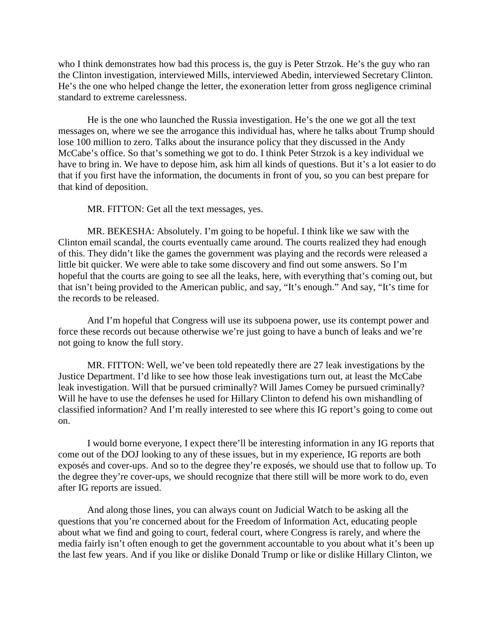who I think demonstrates how bad this process is, the guy is Peter Strzok. He's the guy who ran the Clinton investigation, interviewed Mills, interviewed Abedin, interviewed Secretary Clinton. He's the one who helped change the letter, the exoneration letter from gross negligence criminal standard to extreme carelessness.

He is the one who launched the Russia investigation. He's the one we got all the text messages on, where we see the arrogance this individual has, where he talks about Trump should lose 100 million to zero. Talks about the insurance policy that they discussed in the Andy McCabe's office. So that's something we got to do. I think Peter Strzok is a key individual we have to bring in. We have to depose him, ask him all kinds of questions. But it's a lot easier to do that if you first have the information, the documents in front of you, so you can best prepare for that kind of deposition.

MR. FITTON: Get all the text messages, yes.

MR. BEKESHA: Absolutely. I'm going to be hopeful. I think like we saw with the Clinton email scandal, the courts eventually came around. The courts realized they had enough of this. They didn't like the games the government was playing and the records were released a little bit quicker. We were able to take some discovery and find out some answers. So I'm hopeful that the courts are going to see all the leaks, here, with everything that's coming out, but that isn't being provided to the American public, and say, "It's enough." And say, "It's time for the records to be released.

And I'm hopeful that Congress will use its subpoena power, use its contempt power and force these records out because otherwise we're just going to have a bunch of leaks and we're not going to know the full story.

MR. FITTON: Well, we've been told repeatedly there are 27 leak investigations by the Justice Department. I'd like to see how those leak investigations turn out, at least the McCabe leak investigation. Will that be pursued criminally? Will James Comey be pursued criminally? Will he have to use the defenses he used for Hillary Clinton to defend his own mishandling of classified information? And I'm really interested to see where this IG report's going to come out on.

I would borne everyone, I expect there'll be interesting information in any IG reports that come out of the DOJ looking to any of these issues, but in my experience, IG reports are both exposés and cover-ups. And so to the degree they're exposés, we should use that to follow up. To the degree they're cover-ups, we should recognize that there still will be more work to do, even after IG reports are issued.

And along those lines, you can always count on Judicial Watch to be asking all the questions that you're concerned about for the Freedom of Information Act, educating people about what we find and going to court, federal court, where Congress is rarely, and where the media fairly isn't often enough to get the government accountable to you about what it's been up the last few years. And if you like or dislike Donald Trump or like or dislike Hillary Clinton, we